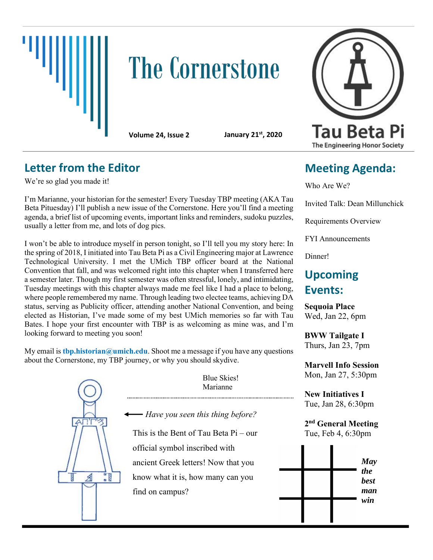

# **The Cornerstone**

**Volume 24, Issue 2 January 21st, 2020**

## **Letter from the Editor**

We're so glad you made it!

I'm Marianne, your historian for the semester! Every Tuesday TBP meeting (AKA Tau Beta Pituesday) I'll publish a new issue of the Cornerstone. Here you'll find a meeting agenda, a brief list of upcoming events, important links and reminders, sudoku puzzles, usually a letter from me, and lots of dog pics.

I won't be able to introduce myself in person tonight, so I'll tell you my story here: In the spring of 2018, I initiated into Tau Beta Pi as a Civil Engineering major at Lawrence Technological University. I met the UMich TBP officer board at the National Convention that fall, and was welcomed right into this chapter when I transferred here a semester later. Though my first semester was often stressful, lonely, and intimidating, Tuesday meetings with this chapter always made me feel like I had a place to belong, where people remembered my name. Through leading two electee teams, achieving DA status, serving as Publicity officer, attending another National Convention, and being elected as Historian, I've made some of my best UMich memories so far with Tau Bates. I hope your first encounter with TBP is as welcoming as mine was, and I'm looking forward to meeting you soon!

My email is **thp.historian@umich.edu**. Shoot me a message if you have any questions about the Cornerstone, my TBP journey, or why you should skydive.





## **Meeting Agenda:**

Who Are We?

Invited Talk: Dean Millunchick

Requirements Overview

FYI Announcements

Dinner!

## **Upcoming Events:**

**Sequoia Place** Wed, Jan 22, 6pm

**BWW Tailgate I** Thurs, Jan 23, 7pm

**Marvell Info Session** Mon, Jan 27, 5:30pm

**New Initiatives I** Tue, Jan 28, 6:30pm

**2 nd General Meeting** Tue, Feb 4, 6:30pm